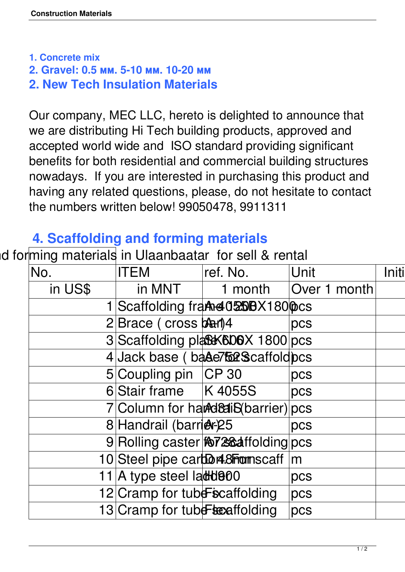**1. Concrete mix**

- **2. Gravel: 0.5 мм. 5-10 мм. 10-20 мм**
- **2. New Tech Insulation Materials**

Our company, MEC LLC, hereto is delighted to announce that we are distributing Hi Tech building products, approved and accepted world wide and ISO standard providing significant benefits for both residential and commercial building structures nowadays. If you are interested in purchasing this product and having any related questions, please, do not hesitate to contact the numbers written below! 99050478, 9911311

## **4. Scaffolding and forming materials**

## Id forming materials in Ulaanbaatar for sell & rental

| No.     | <b>ITEM</b>                                          | ref. No.                                         | ∣Unit         | Initil |
|---------|------------------------------------------------------|--------------------------------------------------|---------------|--------|
| in US\$ | in MNT                                               | 1 month                                          | Over 1 month  |        |
|         |                                                      | Scaffolding fra <b>Ae 025B</b> X180 <b>OCC</b> s |               |        |
|         | $2 Brace$ (cross $\frac{\partial^2 f}{\partial x^2}$ |                                                  | DCS           |        |
|         |                                                      | 3 Scaffolding plase SDOX 1800 pcs                |               |        |
|         |                                                      | 4 Jack base ( bade7 for Scaffold pcs             |               |        |
|         | 5 Coupling pin CP 30                                 |                                                  | $ {\rm pcs} $ |        |
|         | 6 Stair frame   K 4055S                              |                                                  | $ {\rm pcs} $ |        |
|         |                                                      | 7 Column for harder Strater lpcs                 |               |        |
|         | 8 Handrail (barrier 25                               |                                                  | DCS           |        |
|         |                                                      | 9 Rolling caster   107 28 affolding pcs          |               |        |
|         |                                                      | 10Steel pipe carbor 4.8 homscaff m               |               |        |
|         | 11 A type steel $laddb00$                            |                                                  | DCS           |        |
|         | 12 Cramp for tube $\epsilon$ scaffolding             |                                                  | DCS           |        |
|         | 13 Cramp for tube becaffolding                       |                                                  | $ {\rm pcs} $ |        |